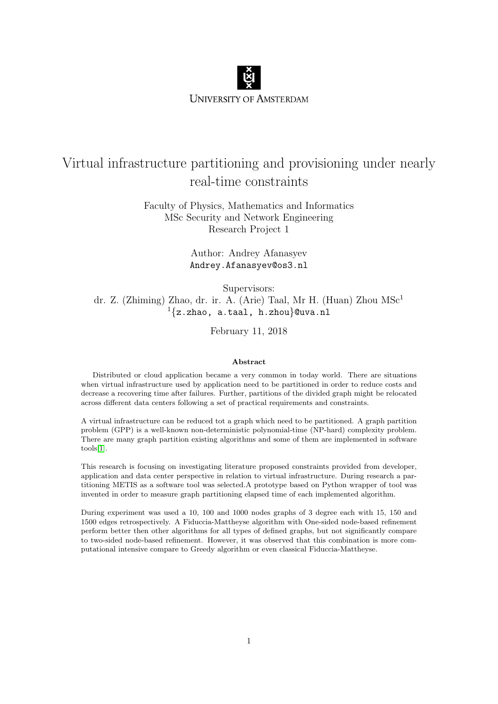

# Virtual infrastructure partitioning and provisioning under nearly real-time constraints

Faculty of Physics, Mathematics and Informatics MSc Security and Network Engineering Research Project 1

> Author: Andrey Afanasyev Andrey.Afanasyev@os3.nl

> > Supervisors:

dr. Z. (Zhiming) Zhao, dr. ir. A. (Arie) Taal, Mr H. (Huan) Zhou MSc<sup>1</sup>  $1\{z.\text{zhao}, \text{a.taal}, \text{h.zhou}\}$ @uva.nl

February 11, 2018

#### Abstract

Distributed or cloud application became a very common in today world. There are situations when virtual infrastructure used by application need to be partitioned in order to reduce costs and decrease a recovering time after failures. Further, partitions of the divided graph might be relocated across different data centers following a set of practical requirements and constraints.

A virtual infrastructure can be reduced tot a graph which need to be partitioned. A graph partition problem (GPP) is a well-known non-deterministic polynomial-time (NP-hard) complexity problem. There are many graph partition existing algorithms and some of them are implemented in software tools[\[1\]](#page-12-0).

This research is focusing on investigating literature proposed constraints provided from developer, application and data center perspective in relation to virtual infrastructure. During research a partitioning METIS as a software tool was selected.A prototype based on Python wrapper of tool was invented in order to measure graph partitioning elapsed time of each implemented algorithm.

During experiment was used a 10, 100 and 1000 nodes graphs of 3 degree each with 15, 150 and 1500 edges retrospectively. A Fiduccia-Mattheyse algorithm with One-sided node-based refinement perform better then other algorithms for all types of defined graphs, but not significantly compare to two-sided node-based refinement. However, it was observed that this combination is more computational intensive compare to Greedy algorithm or even classical Fiduccia-Mattheyse.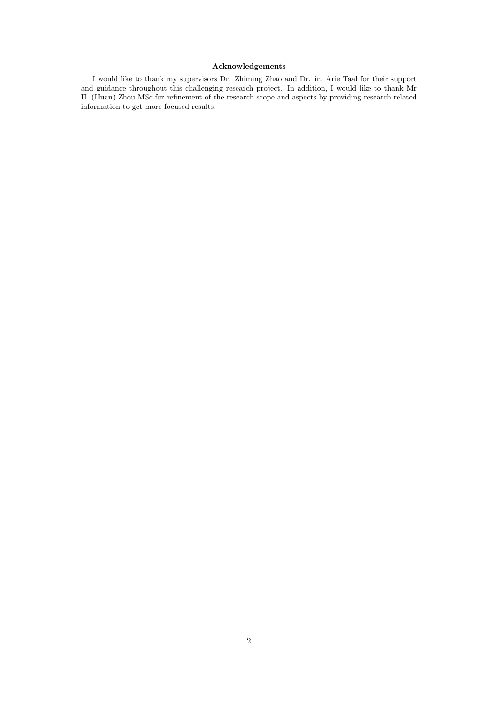#### Acknowledgements

I would like to thank my supervisors Dr. Zhiming Zhao and Dr. ir. Arie Taal for their support and guidance throughout this challenging research project. In addition, I would like to thank Mr H. (Huan) Zhou MSc for refinement of the research scope and aspects by providing research related information to get more focused results.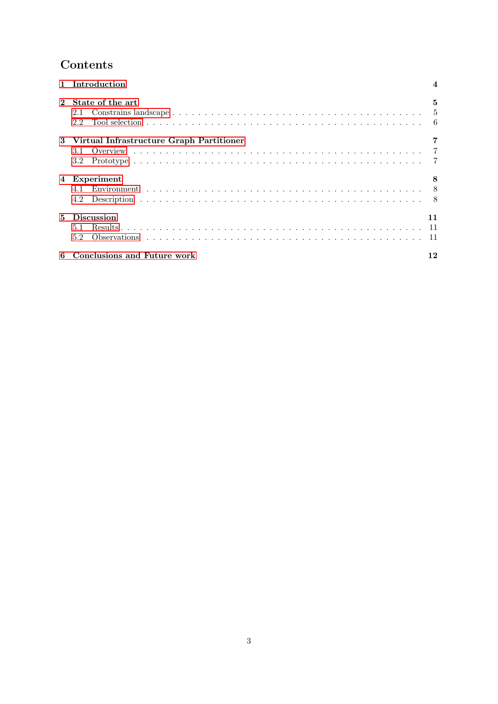# Contents

|                | 1 Introduction                                           |    |
|----------------|----------------------------------------------------------|----|
| $2^{\circ}$    | State of the art<br>2.1<br>2.2                           | 5  |
|                | 3 Virtual Infrastructure Graph Partitioner<br>3.1<br>3.2 |    |
| 4              | Experiment<br>4.2                                        |    |
| 5 <sub>1</sub> | <b>Discussion</b><br>5.1<br>$5.2^{\circ}$                | 11 |
|                | 6 Conclusions and Future work                            |    |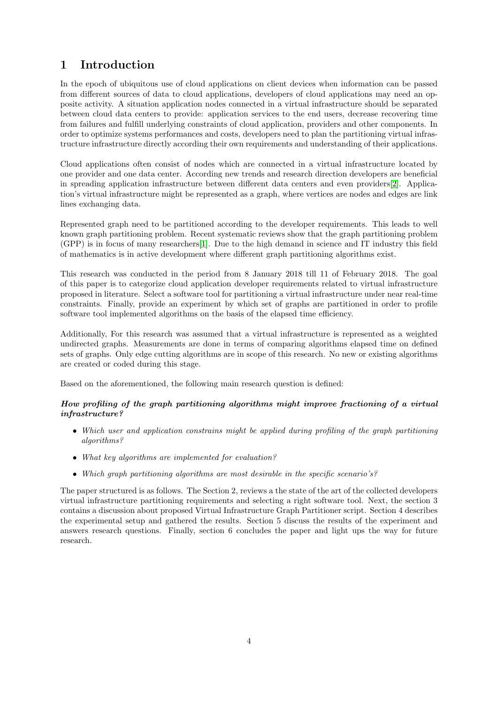# <span id="page-3-0"></span>1 Introduction

In the epoch of ubiquitous use of cloud applications on client devices when information can be passed from different sources of data to cloud applications, developers of cloud applications may need an opposite activity. A situation application nodes connected in a virtual infrastructure should be separated between cloud data centers to provide: application services to the end users, decrease recovering time from failures and fulfill underlying constraints of cloud application, providers and other components. In order to optimize systems performances and costs, developers need to plan the partitioning virtual infrastructure infrastructure directly according their own requirements and understanding of their applications.

Cloud applications often consist of nodes which are connected in a virtual infrastructure located by one provider and one data center. According new trends and research direction developers are beneficial in spreading application infrastructure between different data centers and even providers[\[2\]](#page-12-1). Application's virtual infrastructure might be represented as a graph, where vertices are nodes and edges are link lines exchanging data.

Represented graph need to be partitioned according to the developer requirements. This leads to well known graph partitioning problem. Recent systematic reviews show that the graph partitioning problem (GPP) is in focus of many researchers[\[1\]](#page-12-0). Due to the high demand in science and IT industry this field of mathematics is in active development where different graph partitioning algorithms exist.

This research was conducted in the period from 8 January 2018 till 11 of February 2018. The goal of this paper is to categorize cloud application developer requirements related to virtual infrastructure proposed in literature. Select a software tool for partitioning a virtual infrastructure under near real-time constraints. Finally, provide an experiment by which set of graphs are partitioned in order to profile software tool implemented algorithms on the basis of the elapsed time efficiency.

Additionally, For this research was assumed that a virtual infrastructure is represented as a weighted undirected graphs. Measurements are done in terms of comparing algorithms elapsed time on defined sets of graphs. Only edge cutting algorithms are in scope of this research. No new or existing algorithms are created or coded during this stage.

Based on the aforementioned, the following main research question is defined:

### How profiling of the graph partitioning algorithms might improve fractioning of a virtual infrastructure?

- Which user and application constrains might be applied during profiling of the graph partitioning algorithms?
- What key algorithms are implemented for evaluation?
- Which graph partitioning algorithms are most desirable in the specific scenario's?

The paper structured is as follows. The Section 2, reviews a the state of the art of the collected developers virtual infrastructure partitioning requirements and selecting a right software tool. Next, the section 3 contains a discussion about proposed Virtual Infrastructure Graph Partitioner script. Section 4 describes the experimental setup and gathered the results. Section 5 discuss the results of the experiment and answers research questions. Finally, section 6 concludes the paper and light ups the way for future research.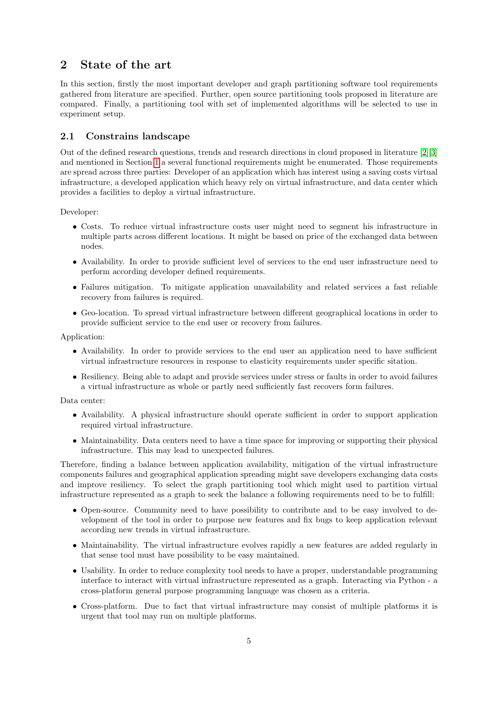## <span id="page-4-0"></span>2 State of the art

In this section, firstly the most important developer and graph partitioning software tool requirements gathered from literature are specified. Further, open source partitioning tools proposed in literature are compared. Finally, a partitioning tool with set of implemented algorithms will be selected to use in experiment setup.

### <span id="page-4-1"></span>2.1 Constrains landscape

Out of the defined research questions, trends and research directions in cloud proposed in literature [\[2\]](#page-12-1)[\[3\]](#page-12-2) and mentioned in Section [1](#page-3-0) a several functional requirements might be enumerated. Those requirements are spread across three parties: Developer of an application which has interest using a saving costs virtual infrastructure, a developed application which heavy rely on virtual infrastructure, and data center which provides a facilities to deploy a virtual infrastructure.

Developer:

- Costs. To reduce virtual infrastructure costs user might need to segment his infrastructure in multiple parts across different locations. It might be based on price of the exchanged data between nodes.
- Availability. In order to provide sufficient level of services to the end user infrastructure need to perform according developer defined requirements.
- Failures mitigation. To mitigate application unavailability and related services a fast reliable recovery from failures is required.
- Geo-location. To spread virtual infrastructure between different geographical locations in order to provide sufficient service to the end user or recovery from failures.

Application:

- Availability. In order to provide services to the end user an application need to have sufficient virtual infrastructure resources in response to elasticity requirements under specific sitation.
- Resiliency. Being able to adapt and provide services under stress or faults in order to avoid failures a virtual infrastructure as whole or partly need sufficiently fast recovers form failures.

Data center:

- Availability. A physical infrastructure should operate sufficient in order to support application required virtual infrastructure.
- Maintainability. Data centers need to have a time space for improving or supporting their physical infrastructure. This may lead to unexpected failures.

Therefore, finding a balance between application availability, mitigation of the virtual infrastructure components failures and geographical application spreading might save developers exchanging data costs and improve resiliency. To select the graph partitioning tool which might used to partition virtual infrastructure represented as a graph to seek the balance a following requirements need to be to fulfill:

- Open-source. Community need to have possibility to contribute and to be easy involved to development of the tool in order to purpose new features and fix bugs to keep application relevant according new trends in virtual infrastructure.
- Maintainability. The virtual infrastructure evolves rapidly a new features are added regularly in that sense tool must have possibility to be easy maintained.
- Usability. In order to reduce complexity tool needs to have a proper, understandable programming interface to interact with virtual infrastructure represented as a graph. Interacting via Python - a cross-platform general purpose programming language was chosen as a criteria.
- Cross-platform. Due to fact that virtual infrastructure may consist of multiple platforms it is urgent that tool may run on multiple platforms.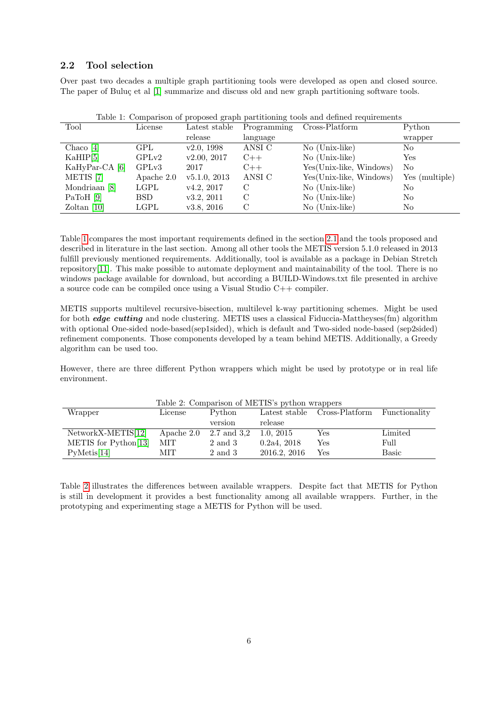### <span id="page-5-0"></span>2.2 Tool selection

Over past two decades a multiple graph partitioning tools were developed as open and closed source. The paper of Buluç et al [\[1\]](#page-12-0) summarize and discuss old and new graph partitioning software tools.

<span id="page-5-1"></span>

| Table 1: Comparison of proposed graph partitioning tools and defined requirements |            |               |             |                         |                |
|-----------------------------------------------------------------------------------|------------|---------------|-------------|-------------------------|----------------|
| Tool                                                                              | License    | Latest stable | Programming | Cross-Platform          | Python         |
|                                                                                   |            | release       | language    |                         | wrapper        |
| Chaco $[4]$                                                                       | GPL        | v2.0, 1998    | ANSI C      | $No$ (Unix-like)        | No             |
| KaHIP[5]                                                                          | GPLv2      | v2.00, 2017   | $C++$       | No (Unix-like)          | Yes            |
| KaHyPar-CA [6]                                                                    | GPLv3      | 2017          | $C++$       | Yes(Unix-like, Windows) | No             |
| METIS <sup>[7]</sup>                                                              | Apache 2.0 | v5.1.0, 2013  | ANSI C      | Yes(Unix-like, Windows) | Yes (multiple) |
| Mondriaan [8]                                                                     | LGPL       | v4.2, 2017    | С           | $No$ (Unix-like)        | No             |
| PaToH $[9]$                                                                       | BSD.       | v3.2, 2011    | C           | $No$ (Unix-like)        | No             |
| Zoltan $ 10 $                                                                     | LGPL       | v3.8, 2016    | С           | No (Unix-like)          | No             |

Table [1](#page-5-1) compares the most important requirements defined in the section [2.1](#page-4-1) and the tools proposed and described in literature in the last section. Among all other tools the METIS version 5.1.0 released in 2013 fulfill previously mentioned requirements. Additionally, tool is available as a package in Debian Stretch repository[\[11\]](#page-12-10). This make possible to automate deployment and maintainability of the tool. There is no windows package available for download, but according a BUILD-Windows.txt file presented in archive a source code can be compiled once using a Visual Studio C++ compiler.

METIS supports multilevel recursive-bisection, multilevel k-way partitioning schemes. Might be used for both edge cutting and node clustering. METIS uses a classical Fiduccia-Mattheyses(fm) algorithm with optional One-sided node-based(sep1sided), which is default and Two-sided node-based (sep2sided) refinement components. Those components developed by a team behind METIS. Additionally, a Greedy algorithm can be used too.

However, there are three different Python wrappers which might be used by prototype or in real life environment.

<span id="page-5-2"></span>

| Table 2: Comparison of METIS's python wrappers |            |             |              |                              |               |
|------------------------------------------------|------------|-------------|--------------|------------------------------|---------------|
| Wrapper                                        | License    | Python      |              | Latest stable Cross-Platform | Functionality |
|                                                |            | version     | release      |                              |               |
| $NetworkX-METIS[12]$                           | Apache 2.0 | 2.7 and 3.2 | 1.0, 2015    | Yes                          | Limited       |
| METIS for Python[13]                           | MІT        | 2 and 3     | 0.2a4, 2018  | Yes                          | Full          |
| PyMetis[14]                                    | MIT        | 2 and 3     | 2016.2, 2016 | Yes                          | Basic         |

Table [2](#page-5-2) illustrates the differences between available wrappers. Despite fact that METIS for Python is still in development it provides a best functionality among all available wrappers. Further, in the prototyping and experimenting stage a METIS for Python will be used.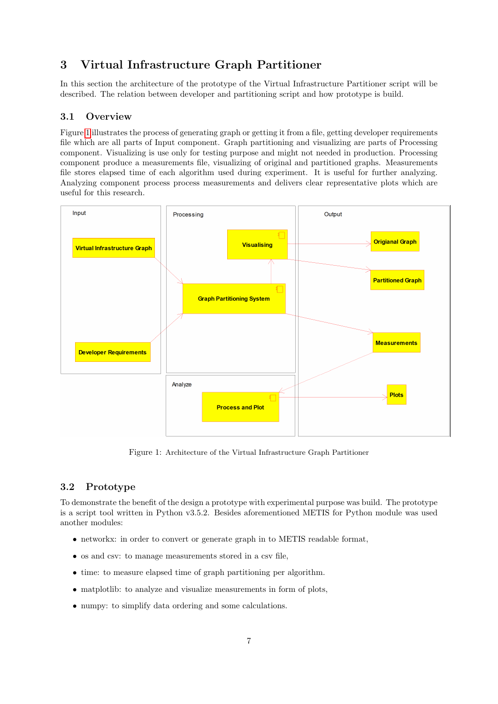# <span id="page-6-0"></span>3 Virtual Infrastructure Graph Partitioner

In this section the architecture of the prototype of the Virtual Infrastructure Partitioner script will be described. The relation between developer and partitioning script and how prototype is build.

### <span id="page-6-1"></span>3.1 Overview

Figure [1](#page-6-3) illustrates the process of generating graph or getting it from a file, getting developer requirements file which are all parts of Input component. Graph partitioning and visualizing are parts of Processing component. Visualizing is use only for testing purpose and might not needed in production. Processing component produce a measurements file, visualizing of original and partitioned graphs. Measurements file stores elapsed time of each algorithm used during experiment. It is useful for further analyzing. Analyzing component process process measurements and delivers clear representative plots which are useful for this research.



<span id="page-6-3"></span>Figure 1: Architecture of the Virtual Infrastructure Graph Partitioner

## <span id="page-6-2"></span>3.2 Prototype

To demonstrate the benefit of the design a prototype with experimental purpose was build. The prototype is a script tool written in Python v3.5.2. Besides aforementioned METIS for Python module was used another modules:

- networkx: in order to convert or generate graph in to METIS readable format,
- os and csv: to manage measurements stored in a csv file,
- time: to measure elapsed time of graph partitioning per algorithm.
- matplotlib: to analyze and visualize measurements in form of plots,
- numpy: to simplify data ordering and some calculations.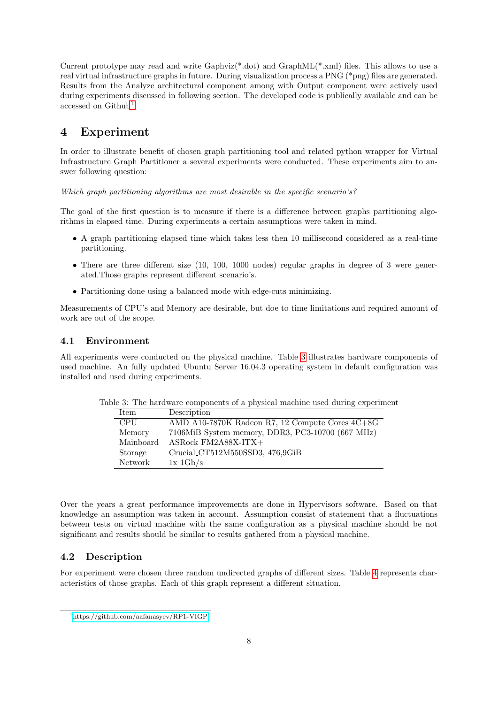Current prototype may read and write Gaphviz(\*.dot) and GraphML(\*.xml) files. This allows to use a real virtual infrastructure graphs in future. During visualization process a PNG (\*png) files are generated. Results from the Analyze architectural component among with Output component were actively used during experiments discussed in following section. The developed code is publically available and can be accessed on Github<sup>[1](#page-7-3)</sup>.

## <span id="page-7-0"></span>4 Experiment

In order to illustrate benefit of chosen graph partitioning tool and related python wrapper for Virtual Infrastructure Graph Partitioner a several experiments were conducted. These experiments aim to answer following question:

Which graph partitioning algorithms are most desirable in the specific scenario's?

The goal of the first question is to measure if there is a difference between graphs partitioning algorithms in elapsed time. During experiments a certain assumptions were taken in mind.

- A graph partitioning elapsed time which takes less then 10 millisecond considered as a real-time partitioning.
- There are three different size (10, 100, 1000 nodes) regular graphs in degree of 3 were generated.Those graphs represent different scenario's.
- Partitioning done using a balanced mode with edge-cuts minimizing.

Measurements of CPU's and Memory are desirable, but doe to time limitations and required amount of work are out of the scope.

#### <span id="page-7-1"></span>4.1 Environment

All experiments were conducted on the physical machine. Table [3](#page-7-4) illustrates hardware components of used machine. An fully updated Ubuntu Server 16.04.3 operating system in default configuration was installed and used during experiments.

<span id="page-7-4"></span>

| wore or fine man an account oncent or a property internate about authorities, only or the |            |                                                   |  |  |
|-------------------------------------------------------------------------------------------|------------|---------------------------------------------------|--|--|
| Description<br>Item                                                                       |            |                                                   |  |  |
|                                                                                           | <b>CPU</b> | AMD A10-7870K Radeon R7, 12 Compute Cores $4C+8G$ |  |  |
|                                                                                           | Memory     | 7106MiB System memory, DDR3, PC3-10700 (667 MHz)  |  |  |
|                                                                                           | Mainboard  | ASRock FM2A88X-ITX+                               |  |  |
|                                                                                           | Storage    | Crucial_CT512M550SSD3, 476,9GiB                   |  |  |
|                                                                                           | Network    | $1x \frac{1Gb}{s}$                                |  |  |
|                                                                                           |            |                                                   |  |  |

Table 3: The hardware components of a physical machine used during experiment

Over the years a great performance improvements are done in Hypervisors software. Based on that knowledge an assumption was taken in account. Assumption consist of statement that a fluctuations between tests on virtual machine with the same configuration as a physical machine should be not significant and results should be similar to results gathered from a physical machine.

#### <span id="page-7-2"></span>4.2 Description

For experiment were chosen three random undirected graphs of different sizes. Table [4](#page-8-0) represents characteristics of those graphs. Each of this graph represent a different situation.

<span id="page-7-3"></span><sup>1</sup><https://github.com/aafanasyev/RP1-VIGP>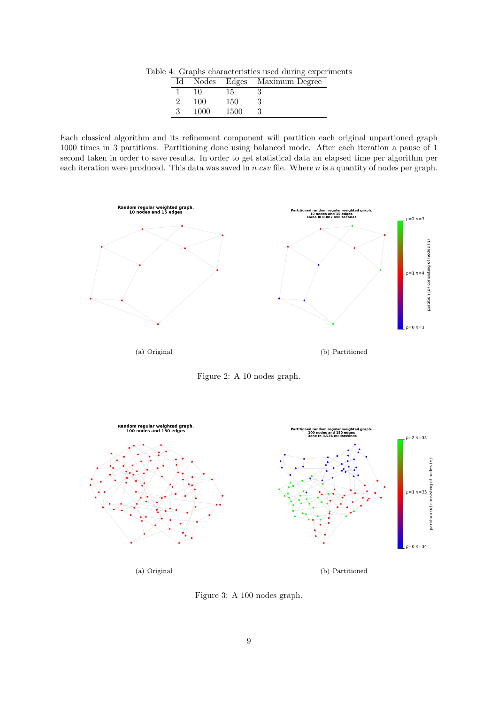Table 4: Graphs characteristics used during experiments

<span id="page-8-0"></span>

| Ιd |      |      | Nodes Edges Maximum Degree |
|----|------|------|----------------------------|
|    | 10   | 15   |                            |
|    | 100  | 150  |                            |
|    | 1000 | 1500 |                            |

Each classical algorithm and its refinement component will partition each original unpartioned graph 1000 times in 3 partitions. Partitioning done using balanced mode. After each iteration a pause of 1 second taken in order to save results. In order to get statistical data an elapsed time per algorithm per each iteration were produced. This data was saved in  $n.csv$  file. Where  $n$  is a quantity of nodes per graph.



<span id="page-8-1"></span>Figure 2: A 10 nodes graph.



<span id="page-8-2"></span>Figure 3: A 100 nodes graph.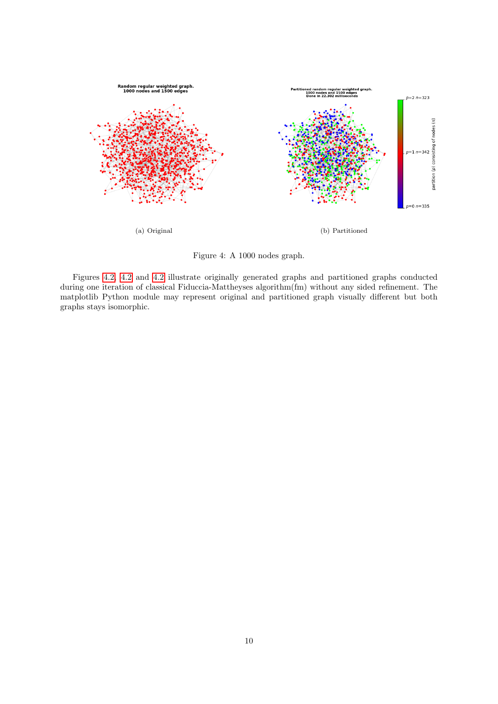

Figure 4: A 1000 nodes graph.

Figures [4.2,](#page-8-0) [4.2](#page-8-1) and [4.2](#page-8-2) illustrate originally generated graphs and partitioned graphs conducted during one iteration of classical Fiduccia-Mattheyses algorithm(fm) without any sided refinement. The matplotlib Python module may represent original and partitioned graph visually different but both graphs stays isomorphic.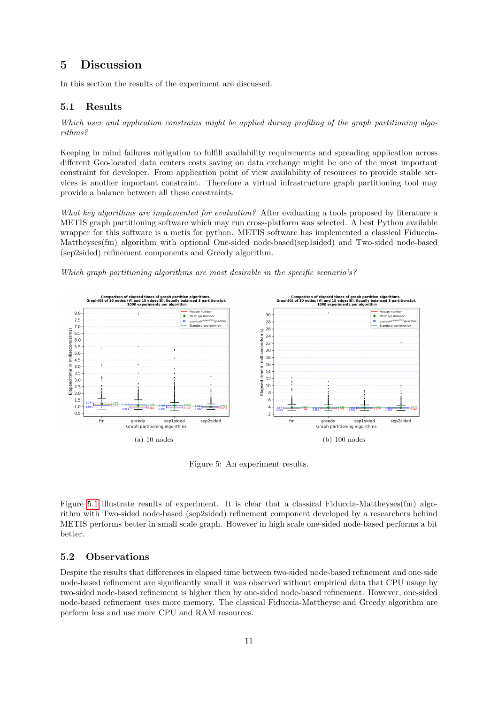## <span id="page-10-0"></span>5 Discussion

In this section the results of the experiment are discussed.

#### <span id="page-10-1"></span>5.1 Results

Which user and application constrains might be applied during profiling of the graph partitioning algorithms?

Keeping in mind failures mitigation to fulfill availability requirements and spreading application across different Geo-located data centers costs saving on data exchange might be one of the most important constraint for developer. From application point of view availability of resources to provide stable services is another important constraint. Therefore a virtual infrastructure graph partitioning tool may provide a balance between all these constraints.

What key algorithms are implemented for evaluation? After evaluating a tools proposed by literature a METIS graph partitioning software which may run cross-platform was selected. A best Python available wrapper for this software is a metis for python. METIS software has implemented a classical Fiduccia-Mattheyses(fm) algorithm with optional One-sided node-based(sep1sided) and Two-sided node-based (sep2sided) refinement components and Greedy algorithm.





Figure 5: An experiment results.

Figure [5.1](#page-10-1) illustrate results of experiment. It is clear that a classical Fiduccia-Mattheyses(fm) algorithm with Two-sided node-based (sep2sided) refinement component developed by a researchers behind METIS performs better in small scale graph. However in high scale one-sided node-based performs a bit better.

#### <span id="page-10-2"></span>5.2 Observations

Despite the results that differences in elapsed time between two-sided node-based refinement and one-side node-based refinement are significantly small it was observed without empirical data that CPU usage by two-sided node-based refinement is higher then by one-sided node-based refinement. However, one-sided node-based refinement uses more memory. The classical Fiduccia-Mattheyse and Greedy algorithm are perform less and use more CPU and RAM resources.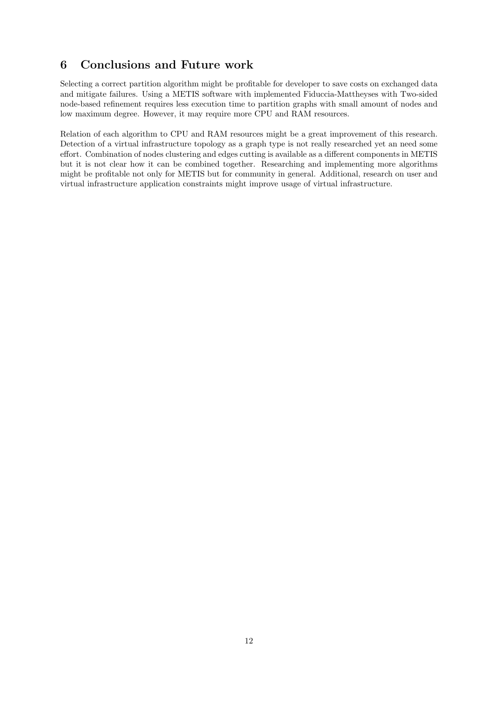# <span id="page-11-0"></span>6 Conclusions and Future work

Selecting a correct partition algorithm might be profitable for developer to save costs on exchanged data and mitigate failures. Using a METIS software with implemented Fiduccia-Mattheyses with Two-sided node-based refinement requires less execution time to partition graphs with small amount of nodes and low maximum degree. However, it may require more CPU and RAM resources.

Relation of each algorithm to CPU and RAM resources might be a great improvement of this research. Detection of a virtual infrastructure topology as a graph type is not really researched yet an need some effort. Combination of nodes clustering and edges cutting is available as a different components in METIS but it is not clear how it can be combined together. Researching and implementing more algorithms might be profitable not only for METIS but for community in general. Additional, research on user and virtual infrastructure application constraints might improve usage of virtual infrastructure.